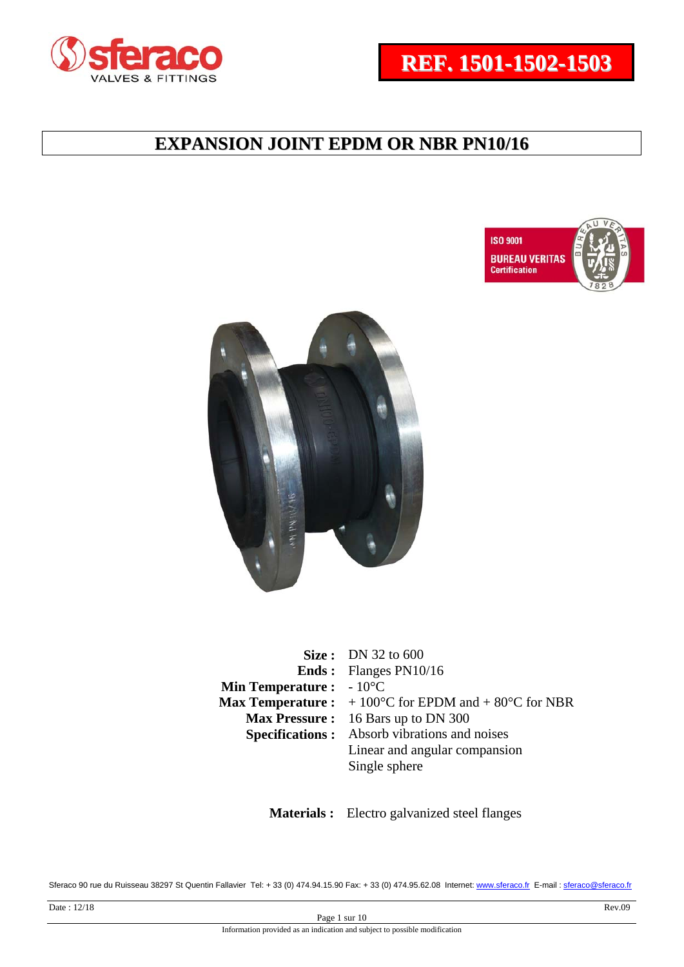





|                                          | <b>Size:</b> DN 32 to 600                                                      |
|------------------------------------------|--------------------------------------------------------------------------------|
|                                          | <b>Ends:</b> Flanges PN10/16                                                   |
| <b>Min Temperature :</b> $-10^{\circ}$ C |                                                                                |
|                                          | <b>Max Temperature :</b> $+100^{\circ}$ C for EPDM and $+80^{\circ}$ C for NBR |
|                                          | Max Pressure: 16 Bars up to DN 300                                             |
|                                          | <b>Specifications:</b> Absorb vibrations and noises                            |
|                                          | Linear and angular compansion                                                  |
|                                          | Single sphere                                                                  |

 **Materials :** Electro galvanized steel flanges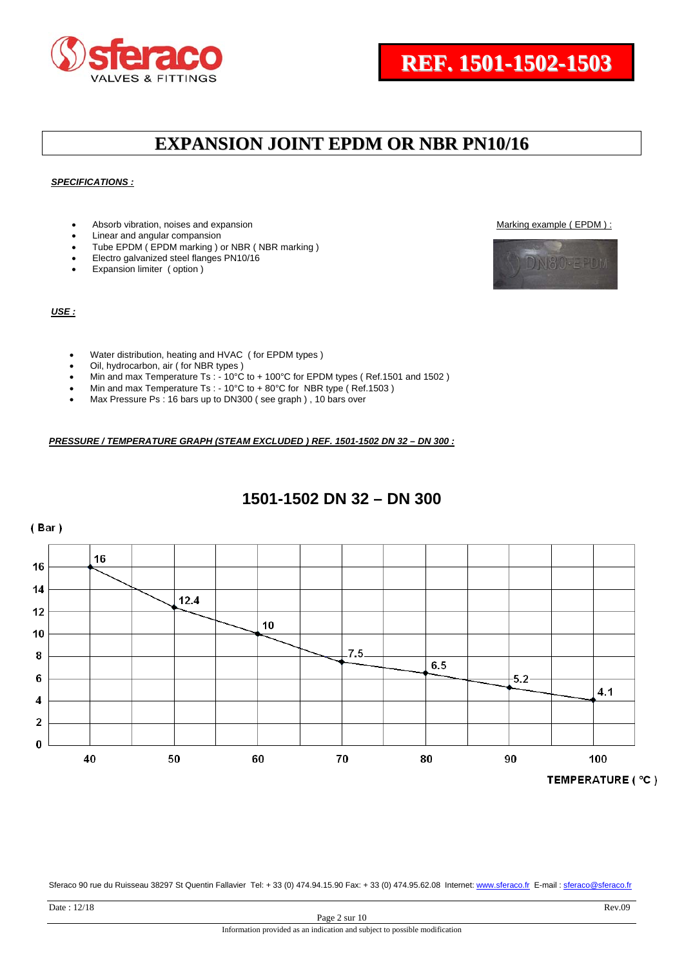



#### *SPECIFICATIONS :*

- Absorb vibration, noises and expansion Marking example ( EPDM ) :
- Linear and angular compansion
- Tube EPDM ( EPDM marking ) or NBR ( NBR marking )
- Electro galvanized steel flanges PN10/16
- Expansion limiter ( option )

#### *USE :*

- Water distribution, heating and HVAC ( for EPDM types )
- Oil, hydrocarbon, air ( for NBR types )
- Min and max Temperature Ts : 10°C to + 100°C for EPDM types (Ref.1501 and 1502)
- Min and max Temperature Ts : 10°C to + 80°C for NBR type (Ref.1503)
- Max Pressure Ps : 16 bars up to DN300 ( see graph ) , 10 bars over

*PRESSURE / TEMPERATURE GRAPH (STEAM EXCLUDED ) REF. 1501-1502 DN 32 – DN 300 :* 

### **1501-1502 DN 32 – DN 300**



Sferaco 90 rue du Ruisseau 38297 St Quentin Fallavier Tel: + 33 (0) 474.94.15.90 Fax: + 33 (0) 474.95.62.08 Internet: www.sferaco.fr E-mail : sferaco@sferaco.fr

N80-EPDM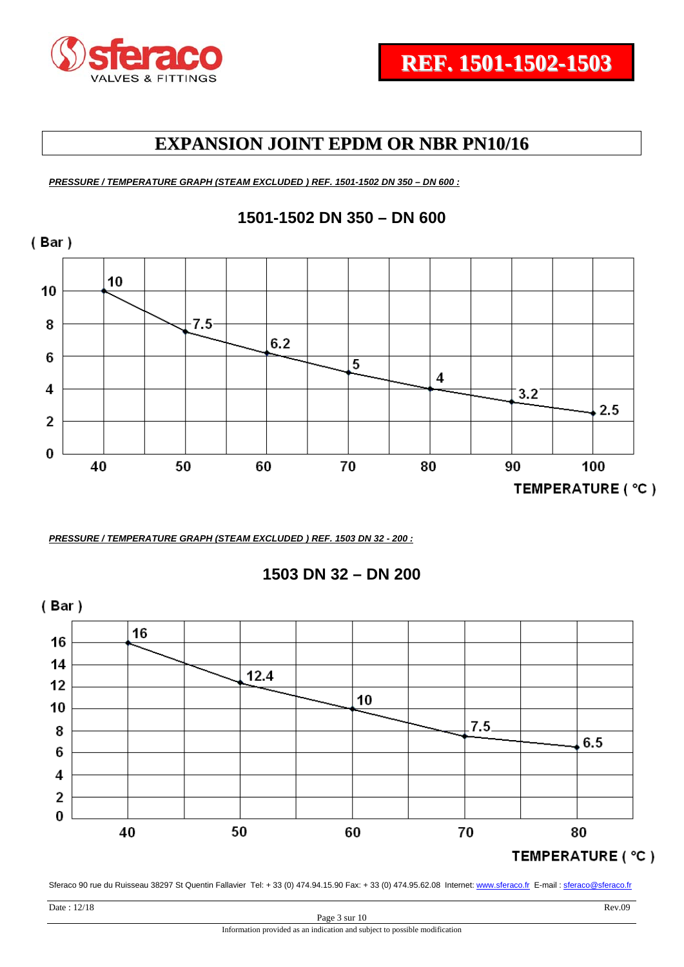

*PRESSURE / TEMPERATURE GRAPH (STEAM EXCLUDED ) REF. 1501-1502 DN 350 – DN 600 :* 



*PRESSURE / TEMPERATURE GRAPH (STEAM EXCLUDED ) REF. 1503 DN 32 - 200 :* 

**1503 DN 32 – DN 200** 

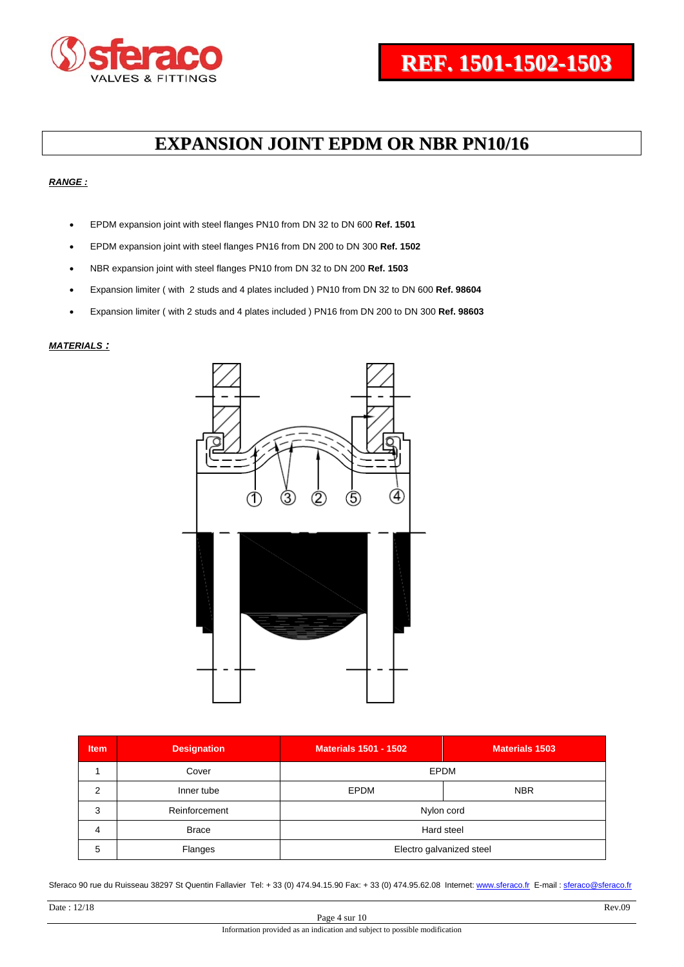

#### *RANGE :*

- EPDM expansion joint with steel flanges PN10 from DN 32 to DN 600 **Ref. 1501**
- EPDM expansion joint with steel flanges PN16 from DN 200 to DN 300 **Ref. 1502**
- NBR expansion joint with steel flanges PN10 from DN 32 to DN 200 **Ref. 1503**
- Expansion limiter ( with 2 studs and 4 plates included ) PN10 from DN 32 to DN 600 **Ref. 98604**
- Expansion limiter ( with 2 studs and 4 plates included ) PN16 from DN 200 to DN 300 **Ref. 98603**

#### *MATERIALS :*



| <b>Item</b> | <b>Designation</b> | <b>Materials 1501 - 1502</b> | <b>Materials 1503</b> |  |  |  |  |  |  |
|-------------|--------------------|------------------------------|-----------------------|--|--|--|--|--|--|
|             | Cover              | <b>EPDM</b>                  |                       |  |  |  |  |  |  |
| 2           | Inner tube         | <b>EPDM</b>                  | <b>NBR</b>            |  |  |  |  |  |  |
| 3           | Reinforcement      | Nylon cord                   |                       |  |  |  |  |  |  |
| 4           | <b>Brace</b>       | Hard steel                   |                       |  |  |  |  |  |  |
| 5           | Flanges            | Electro galvanized steel     |                       |  |  |  |  |  |  |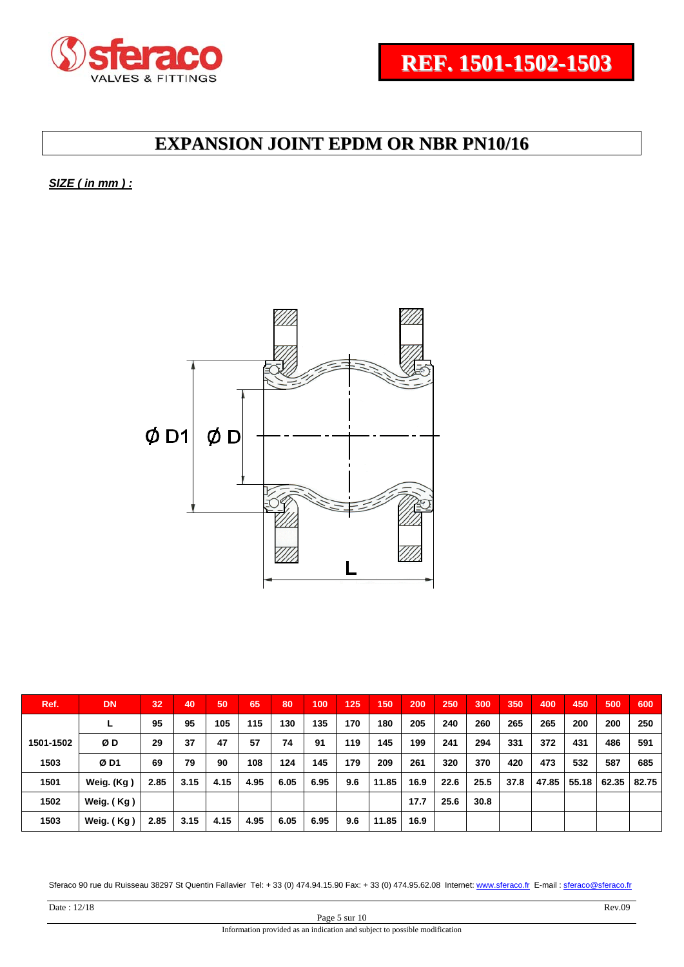

*SIZE ( in mm ) :* 



| Ref.      | <b>DN</b>  | 32   | 40   | 50   | 65   | 80   | 100  | 125 | 150   | 200  | 250  | 300  | 350  | 400   | 450   | 500   | 600   |
|-----------|------------|------|------|------|------|------|------|-----|-------|------|------|------|------|-------|-------|-------|-------|
|           |            | 95   | 95   | 105  | 115  | 130  | 135  | 170 | 180   | 205  | 240  | 260  | 265  | 265   | 200   | 200   | 250   |
| 1501-1502 | ØΒ         | 29   | 37   | 47   | 57   | 74   | 91   | 119 | 145   | 199  | 241  | 294  | 331  | 372   | 431   | 486   | 591   |
| 1503      | ØD1        | 69   | 79   | 90   | 108  | 124  | 145  | 179 | 209   | 261  | 320  | 370  | 420  | 473   | 532   | 587   | 685   |
| 1501      | Weig. (Kg) | 2.85 | 3.15 | 4.15 | 4.95 | 6.05 | 6.95 | 9.6 | 11.85 | 16.9 | 22.6 | 25.5 | 37.8 | 47.85 | 55.18 | 62.35 | 82.75 |
| 1502      | Weig. (Kg) |      |      |      |      |      |      |     |       | 17.7 | 25.6 | 30.8 |      |       |       |       |       |
| 1503      | Weig. (Kg) | 2.85 | 3.15 | 4.15 | 4.95 | 6.05 | 6.95 | 9.6 | 11.85 | 16.9 |      |      |      |       |       |       |       |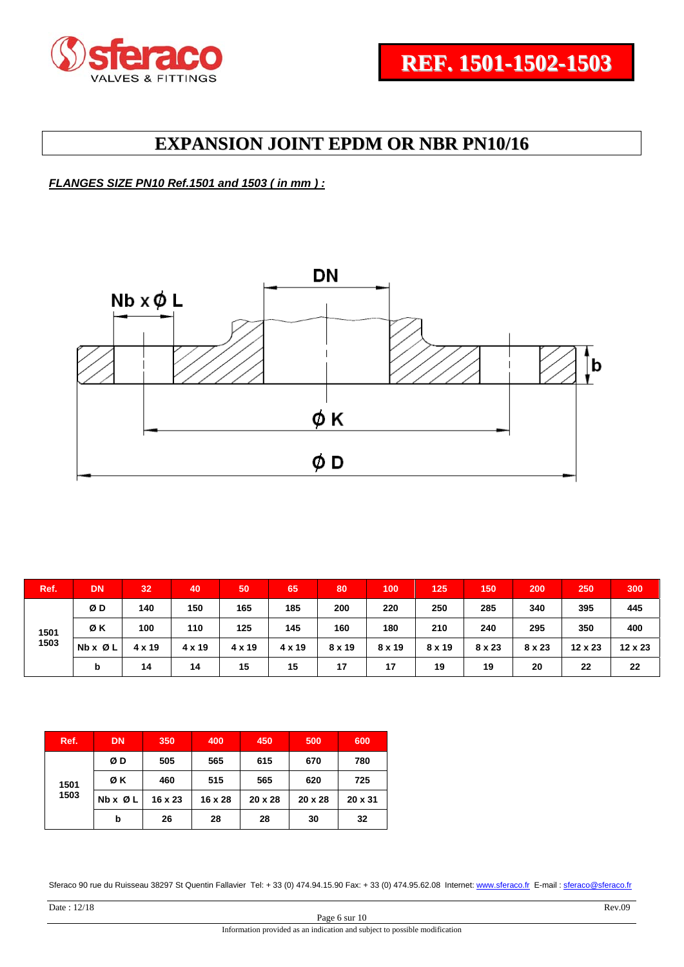

*FLANGES SIZE PN10 Ref.1501 and 1503 ( in mm ) :* 



| Ref.         | <b>DN</b>               | 32            | 40     | 50     | 65     | 80     | 100    | 125    | 150           | 200           | 250            | 300     |
|--------------|-------------------------|---------------|--------|--------|--------|--------|--------|--------|---------------|---------------|----------------|---------|
| 1501<br>1503 | ØΒ                      | 140           | 150    | 165    | 185    | 200    | 220    | 250    | 285           | 340           | 395            | 445     |
|              | ØΚ                      | 100           | 110    | 125    | 145    | 160    | 180    | 210    | 240           | 295           | 350            | 400     |
|              | $Nb \times \emptyset$ L | $4 \times 19$ | 4 x 19 | 4 x 19 | 4 x 19 | 8 x 19 | 8 x 19 | 8 x 19 | $8 \times 23$ | $8 \times 23$ | $12 \times 23$ | 12 x 23 |
|              | b                       | 14            | 14     | 15     | 15     | 17     | 17     | 19     | 19            | 20            | 22             | 22      |

| Ref. | <b>DN</b>               | 350     | 400     | 450            | 500     | 600     |
|------|-------------------------|---------|---------|----------------|---------|---------|
|      | ØD                      | 505     | 565     | 615            | 670     | 780     |
| 1501 | ØΚ                      | 460     | 515     | 565            | 620     | 725     |
| 1503 | $Nb \times \emptyset L$ | 16 x 23 | 16 x 28 | $20 \times 28$ | 20 x 28 | 20 x 31 |
|      | b                       | 26      | 28      | 28             | 30      | 32      |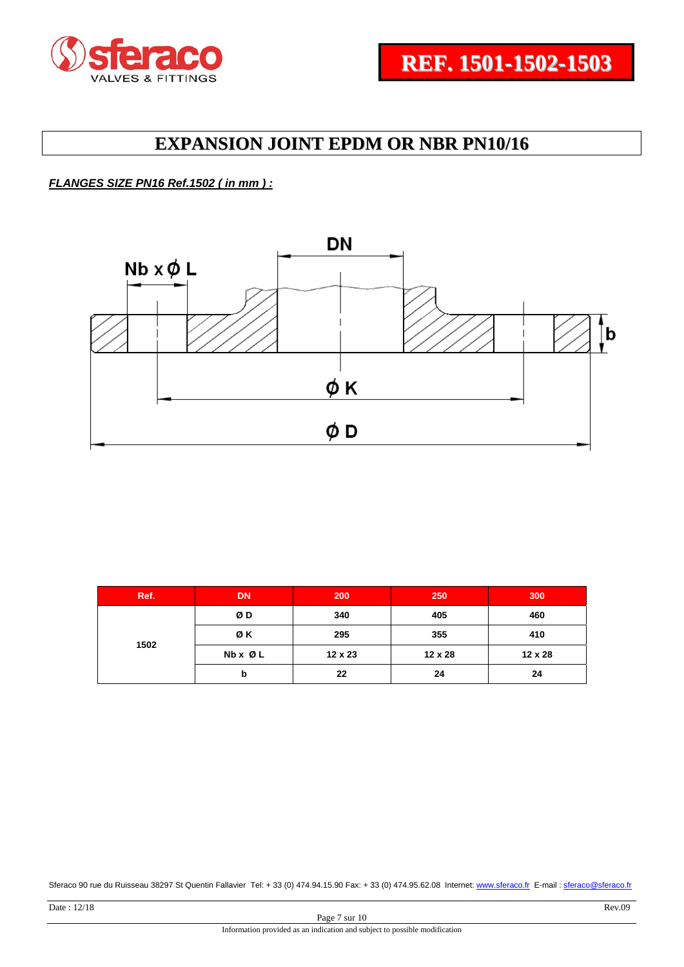

#### *FLANGES SIZE PN16 Ref.1502 ( in mm ) :*



| Ref. | <b>DN</b>               | 200     | 250     | 300     |  |
|------|-------------------------|---------|---------|---------|--|
| 1502 | ØΒ                      | 340     | 405     | 460     |  |
|      | ØΚ                      | 295     | 355     | 410     |  |
|      | $Nb \times \emptyset L$ | 12 x 23 | 12 x 28 | 12 x 28 |  |
|      | b                       | 22      | 24      | 24      |  |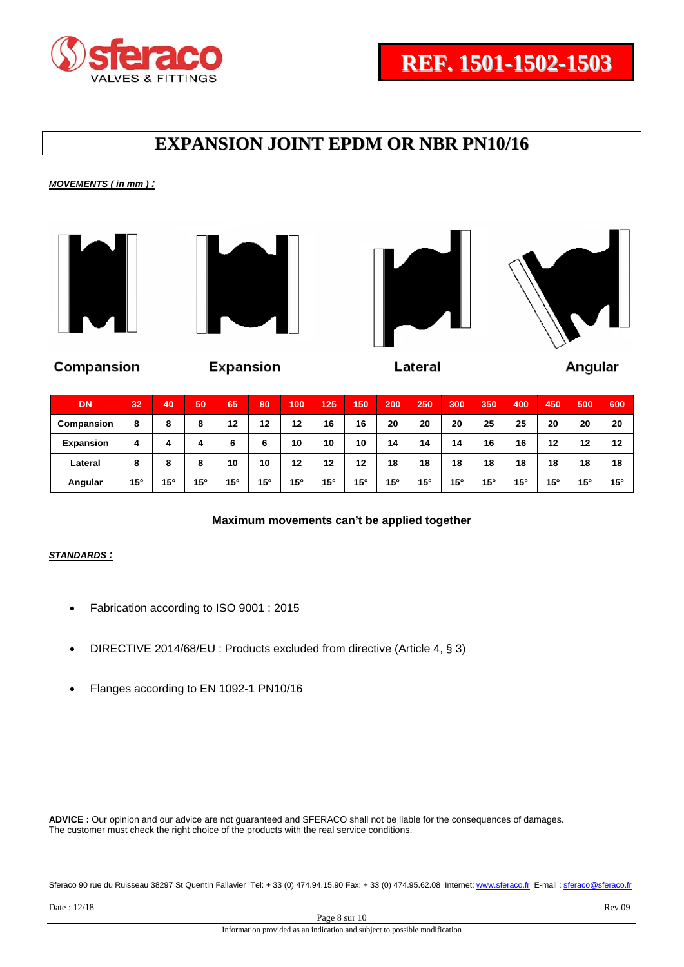

*MOVEMENTS ( in mm ) :* 









Compansion

**Expansion** 

Lateral

Angular

| <b>DN</b>        | 32           | 40           | 50           | 65           | 80           | 100          | 125          | 150          | 200          | 250        | 300          | 350          | 400          | 450 | 500          | 600          |
|------------------|--------------|--------------|--------------|--------------|--------------|--------------|--------------|--------------|--------------|------------|--------------|--------------|--------------|-----|--------------|--------------|
| Compansion       | 8            | 8            | 8            | 12           | 12           | 12           | 16           | 16           | 20           | 20         | 20           | 25           | 25           | 20  | 20           | 20           |
| <b>Expansion</b> | 4            | 4            | 4            | 6            | 6            | 10           | 10           | 10           | 14           | 14         | 14           | 16           | 16           | 12  | 12           | 12           |
| Lateral          | 8            | 8            | 8            | 10           | 10           | 12           | 12           | 12           | 18           | 18         | 18           | 18           | 18           | 18  | 18           | 18           |
| Angular          | $15^{\circ}$ | $15^{\circ}$ | $15^{\circ}$ | $15^{\circ}$ | $15^{\circ}$ | $15^{\circ}$ | $15^{\circ}$ | $15^{\circ}$ | $15^{\circ}$ | $15^\circ$ | $15^{\circ}$ | $15^{\circ}$ | $15^{\circ}$ | 15° | $15^{\circ}$ | $15^{\circ}$ |

#### **Maximum movements can't be applied together**

#### *STANDARDS :*

- Fabrication according to ISO 9001 : 2015
- DIRECTIVE 2014/68/EU : Products excluded from directive (Article 4, § 3)
- Flanges according to EN 1092-1 PN10/16

**ADVICE :** Our opinion and our advice are not guaranteed and SFERACO shall not be liable for the consequences of damages. The customer must check the right choice of the products with the real service conditions.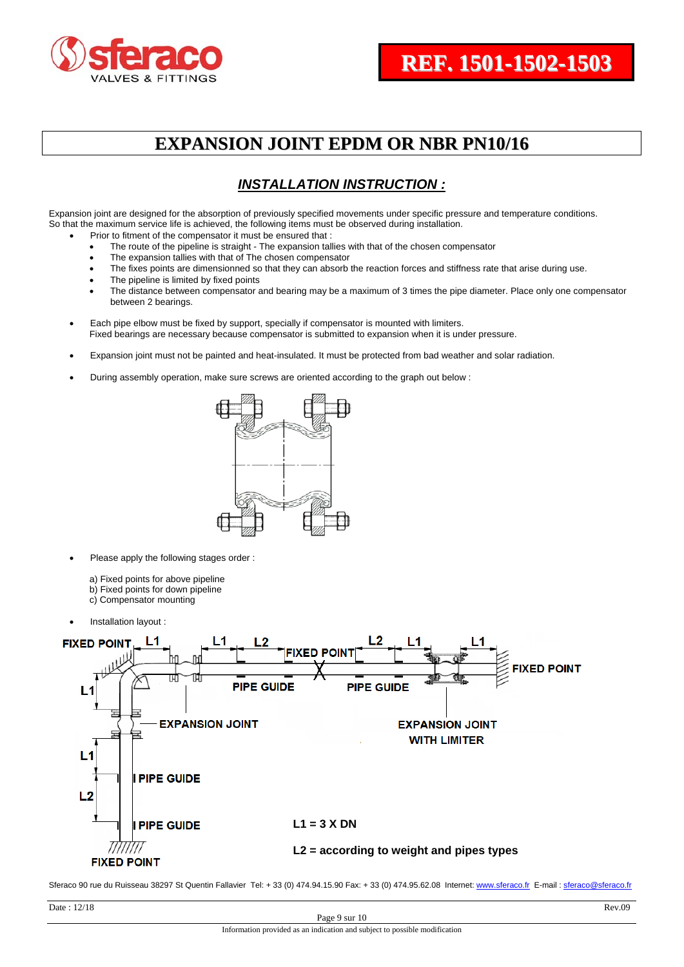

#### *INSTALLATION INSTRUCTION :*

Expansion joint are designed for the absorption of previously specified movements under specific pressure and temperature conditions. So that the maximum service life is achieved, the following items must be observed during installation.

- Prior to fitment of the compensator it must be ensured that :
- The route of the pipeline is straight The expansion tallies with that of the chosen compensator
- The expansion tallies with that of The chosen compensator
- The fixes points are dimensionned so that they can absorb the reaction forces and stiffness rate that arise during use.
- The pipeline is limited by fixed points
- The distance between compensator and bearing may be a maximum of 3 times the pipe diameter. Place only one compensator between 2 bearings.
- Each pipe elbow must be fixed by support, specially if compensator is mounted with limiters. Fixed bearings are necessary because compensator is submitted to expansion when it is under pressure.
- Expansion joint must not be painted and heat-insulated. It must be protected from bad weather and solar radiation.
- During assembly operation, make sure screws are oriented according to the graph out below :



- Please apply the following stages order :
	- a) Fixed points for above pipeline
	- b) Fixed points for down pipeline
	- c) Compensator mounting
- Installation layout :